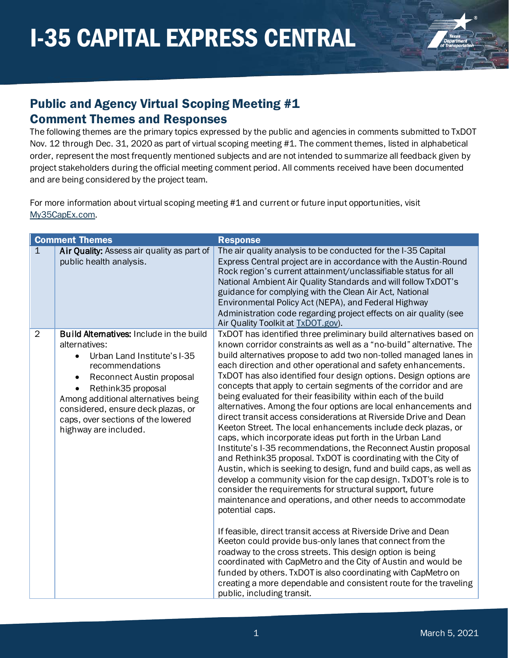

#### Public and Agency Virtual Scoping Meeting #1 Comment Themes and Responses

The following themes are the primary topics expressed by the public and agencies in comments submitted to TxDOT Nov. 12 through Dec. 31, 2020 as part of virtual scoping meeting #1. The comment themes, listed in alphabetical order, represent the most frequently mentioned subjects and are not intended to summarize all feedback given by project stakeholders during the official meeting comment period. All comments received have been documented and are being considered by the project team.

For more information about virtual scoping meeting #1 and current or future input opportunities, visit [My35CapEx.com.](https://my35capex.com/)

|              | <b>Comment Themes</b>                                                                                                                                                                                                                                                                                                   | <b>Response</b>                                                                                                                                                                                                                                                                                                                                                                                                                                                                                                                                                                                                                                                                                                                                                                                                                                                                                                                                                                                                                                                                                                                                                                                                                                                                                                                                                                                                                                                                                                                                                                                                               |
|--------------|-------------------------------------------------------------------------------------------------------------------------------------------------------------------------------------------------------------------------------------------------------------------------------------------------------------------------|-------------------------------------------------------------------------------------------------------------------------------------------------------------------------------------------------------------------------------------------------------------------------------------------------------------------------------------------------------------------------------------------------------------------------------------------------------------------------------------------------------------------------------------------------------------------------------------------------------------------------------------------------------------------------------------------------------------------------------------------------------------------------------------------------------------------------------------------------------------------------------------------------------------------------------------------------------------------------------------------------------------------------------------------------------------------------------------------------------------------------------------------------------------------------------------------------------------------------------------------------------------------------------------------------------------------------------------------------------------------------------------------------------------------------------------------------------------------------------------------------------------------------------------------------------------------------------------------------------------------------------|
| $\mathbf{1}$ | Air Quality: Assess air quality as part of<br>public health analysis.                                                                                                                                                                                                                                                   | The air quality analysis to be conducted for the I-35 Capital<br>Express Central project are in accordance with the Austin-Round<br>Rock region's current attainment/unclassifiable status for all<br>National Ambient Air Quality Standards and will follow TxDOT's<br>guidance for complying with the Clean Air Act, National<br>Environmental Policy Act (NEPA), and Federal Highway<br>Administration code regarding project effects on air quality (see<br>Air Quality Toolkit at TxDOT.gov).                                                                                                                                                                                                                                                                                                                                                                                                                                                                                                                                                                                                                                                                                                                                                                                                                                                                                                                                                                                                                                                                                                                            |
| 2            | Build Alternatives: Include in the build<br>alternatives:<br>Urban Land Institute's I-35<br>recommendations<br>Reconnect Austin proposal<br>$\bullet$<br>Rethink35 proposal<br>Among additional alternatives being<br>considered, ensure deck plazas, or<br>caps, over sections of the lowered<br>highway are included. | TxDOT has identified three preliminary build alternatives based on<br>known corridor constraints as well as a "no-build" alternative. The<br>build alternatives propose to add two non-tolled managed lanes in<br>each direction and other operational and safety enhancements.<br>TxDOT has also identified four design options. Design options are<br>concepts that apply to certain segments of the corridor and are<br>being evaluated for their feasibility within each of the build<br>alternatives. Among the four options are local enhancements and<br>direct transit access considerations at Riverside Drive and Dean<br>Keeton Street. The local enhancements include deck plazas, or<br>caps, which incorporate ideas put forth in the Urban Land<br>Institute's I-35 recommendations, the Reconnect Austin proposal<br>and Rethink35 proposal. TxDOT is coordinating with the City of<br>Austin, which is seeking to design, fund and build caps, as well as<br>develop a community vision for the cap design. TxDOT's role is to<br>consider the requirements for structural support, future<br>maintenance and operations, and other needs to accommodate<br>potential caps.<br>If feasible, direct transit access at Riverside Drive and Dean<br>Keeton could provide bus-only lanes that connect from the<br>roadway to the cross streets. This design option is being<br>coordinated with CapMetro and the City of Austin and would be<br>funded by others. TxDOT is also coordinating with CapMetro on<br>creating a more dependable and consistent route for the traveling<br>public, including transit. |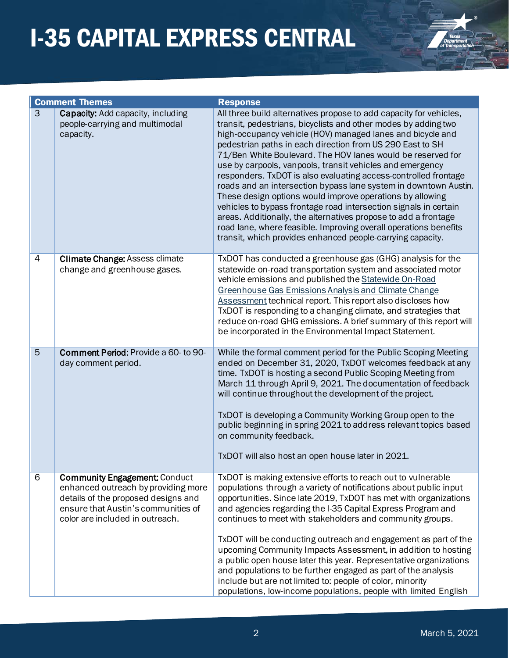

|                | <b>Comment Themes</b>                                                                                                                                                                        | <b>Response</b>                                                                                                                                                                                                                                                                                                                                                                                                                                                                                                                                                                                                                                                                                                                                                                                                                                                          |
|----------------|----------------------------------------------------------------------------------------------------------------------------------------------------------------------------------------------|--------------------------------------------------------------------------------------------------------------------------------------------------------------------------------------------------------------------------------------------------------------------------------------------------------------------------------------------------------------------------------------------------------------------------------------------------------------------------------------------------------------------------------------------------------------------------------------------------------------------------------------------------------------------------------------------------------------------------------------------------------------------------------------------------------------------------------------------------------------------------|
| $\overline{3}$ | Capacity: Add capacity, including<br>people-carrying and multimodal<br>capacity.                                                                                                             | All three build alternatives propose to add capacity for vehicles,<br>transit, pedestrians, bicyclists and other modes by adding two<br>high-occupancy vehicle (HOV) managed lanes and bicycle and<br>pedestrian paths in each direction from US 290 East to SH<br>71/Ben White Boulevard. The HOV lanes would be reserved for<br>use by carpools, vanpools, transit vehicles and emergency<br>responders. TxDOT is also evaluating access-controlled frontage<br>roads and an intersection bypass lane system in downtown Austin.<br>These design options would improve operations by allowing<br>vehicles to bypass frontage road intersection signals in certain<br>areas. Additionally, the alternatives propose to add a frontage<br>road lane, where feasible. Improving overall operations benefits<br>transit, which provides enhanced people-carrying capacity. |
| 4              | <b>Climate Change: Assess climate</b><br>change and greenhouse gases.                                                                                                                        | TxDOT has conducted a greenhouse gas (GHG) analysis for the<br>statewide on-road transportation system and associated motor<br>vehicle emissions and published the Statewide On-Road<br>Greenhouse Gas Emissions Analysis and Climate Change<br>Assessment technical report. This report also discloses how<br>TxDOT is responding to a changing climate, and strategies that<br>reduce on-road GHG emissions. A brief summary of this report will<br>be incorporated in the Environmental Impact Statement.                                                                                                                                                                                                                                                                                                                                                             |
| 5              | Comment Period: Provide a 60- to 90-<br>day comment period.                                                                                                                                  | While the formal comment period for the Public Scoping Meeting<br>ended on December 31, 2020, TxDOT welcomes feedback at any<br>time. TxDOT is hosting a second Public Scoping Meeting from<br>March 11 through April 9, 2021. The documentation of feedback<br>will continue throughout the development of the project.<br>TxDOT is developing a Community Working Group open to the<br>public beginning in spring 2021 to address relevant topics based<br>on community feedback.<br>TxDOT will also host an open house later in 2021.                                                                                                                                                                                                                                                                                                                                 |
| 6              | <b>Community Engagement: Conduct</b><br>enhanced outreach by providing more<br>details of the proposed designs and<br>ensure that Austin's communities of<br>color are included in outreach. | TxDOT is making extensive efforts to reach out to vulnerable<br>populations through a variety of notifications about public input<br>opportunities. Since late 2019, TxDOT has met with organizations<br>and agencies regarding the I-35 Capital Express Program and<br>continues to meet with stakeholders and community groups.<br>TxDOT will be conducting outreach and engagement as part of the<br>upcoming Community Impacts Assessment, in addition to hosting<br>a public open house later this year. Representative organizations<br>and populations to be further engaged as part of the analysis<br>include but are not limited to: people of color, minority<br>populations, low-income populations, people with limited English                                                                                                                             |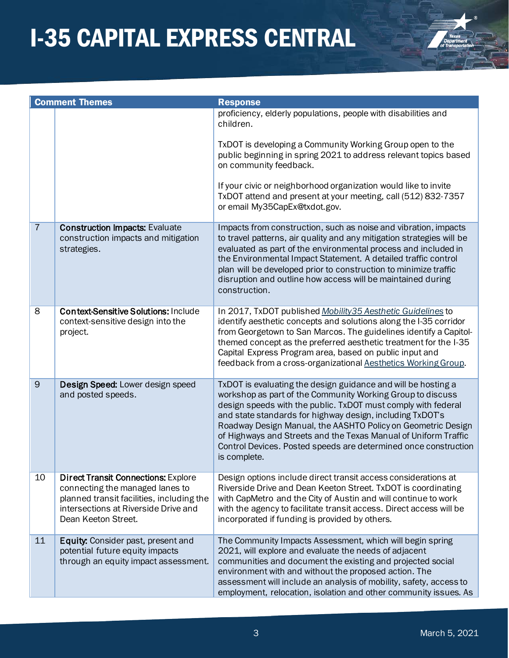

|                | <b>Comment Themes</b>                                                                                                                                                                     | <b>Response</b>                                                                                                                                                                                                                                                                                                                                                                                                                                                                 |
|----------------|-------------------------------------------------------------------------------------------------------------------------------------------------------------------------------------------|---------------------------------------------------------------------------------------------------------------------------------------------------------------------------------------------------------------------------------------------------------------------------------------------------------------------------------------------------------------------------------------------------------------------------------------------------------------------------------|
|                |                                                                                                                                                                                           | proficiency, elderly populations, people with disabilities and<br>children.                                                                                                                                                                                                                                                                                                                                                                                                     |
|                |                                                                                                                                                                                           | TxDOT is developing a Community Working Group open to the<br>public beginning in spring 2021 to address relevant topics based<br>on community feedback.                                                                                                                                                                                                                                                                                                                         |
|                |                                                                                                                                                                                           | If your civic or neighborhood organization would like to invite<br>TxDOT attend and present at your meeting, call (512) 832-7357<br>or email My35CapEx@txdot.gov.                                                                                                                                                                                                                                                                                                               |
| $\overline{7}$ | <b>Construction Impacts: Evaluate</b><br>construction impacts and mitigation<br>strategies.                                                                                               | Impacts from construction, such as noise and vibration, impacts<br>to travel patterns, air quality and any mitigation strategies will be<br>evaluated as part of the environmental process and included in<br>the Environmental Impact Statement. A detailed traffic control<br>plan will be developed prior to construction to minimize traffic<br>disruption and outline how access will be maintained during<br>construction.                                                |
| 8              | <b>Context-Sensitive Solutions: Include</b><br>context-sensitive design into the<br>project.                                                                                              | In 2017, TxDOT published Mobility 35 Aesthetic Guidelines to<br>identify aesthetic concepts and solutions along the I-35 corridor<br>from Georgetown to San Marcos. The guidelines identify a Capitol-<br>themed concept as the preferred aesthetic treatment for the I-35<br>Capital Express Program area, based on public input and<br>feedback from a cross-organizational Aesthetics Working Group.                                                                         |
| 9              | Design Speed: Lower design speed<br>and posted speeds.                                                                                                                                    | TxDOT is evaluating the design guidance and will be hosting a<br>workshop as part of the Community Working Group to discuss<br>design speeds with the public. TxDOT must comply with federal<br>and state standards for highway design, including TxDOT's<br>Roadway Design Manual, the AASHTO Policy on Geometric Design<br>of Highways and Streets and the Texas Manual of Uniform Traffic<br>Control Devices. Posted speeds are determined once construction<br>is complete. |
| 10             | <b>Direct Transit Connections: Explore</b><br>connecting the managed lanes to<br>planned transit facilities, including the<br>intersections at Riverside Drive and<br>Dean Keeton Street. | Design options include direct transit access considerations at<br>Riverside Drive and Dean Keeton Street. TxDOT is coordinating<br>with CapMetro and the City of Austin and will continue to work<br>with the agency to facilitate transit access. Direct access will be<br>incorporated if funding is provided by others.                                                                                                                                                      |
| 11             | Equity: Consider past, present and<br>potential future equity impacts<br>through an equity impact assessment.                                                                             | The Community Impacts Assessment, which will begin spring<br>2021, will explore and evaluate the needs of adjacent<br>communities and document the existing and projected social<br>environment with and without the proposed action. The<br>assessment will include an analysis of mobility, safety, access to<br>employment, relocation, isolation and other community issues. As                                                                                             |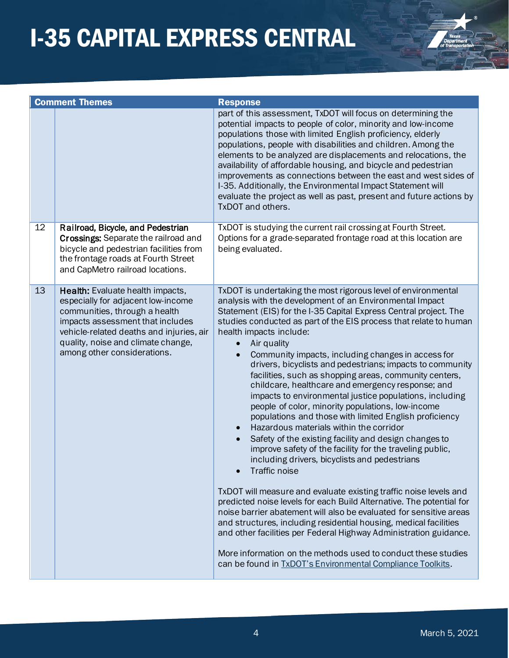

|    | <b>Comment Themes</b>                                                                                                                                                                                                                                        | <b>Response</b>                                                                                                                                                                                                                                                                                                                                                                                                                                                                                                                                                                                                                                                                                                                                                                                                                                                                                                                                                                                                                                                                                                                                                                                                                                                                                                                                                                                                                                         |
|----|--------------------------------------------------------------------------------------------------------------------------------------------------------------------------------------------------------------------------------------------------------------|---------------------------------------------------------------------------------------------------------------------------------------------------------------------------------------------------------------------------------------------------------------------------------------------------------------------------------------------------------------------------------------------------------------------------------------------------------------------------------------------------------------------------------------------------------------------------------------------------------------------------------------------------------------------------------------------------------------------------------------------------------------------------------------------------------------------------------------------------------------------------------------------------------------------------------------------------------------------------------------------------------------------------------------------------------------------------------------------------------------------------------------------------------------------------------------------------------------------------------------------------------------------------------------------------------------------------------------------------------------------------------------------------------------------------------------------------------|
|    |                                                                                                                                                                                                                                                              | part of this assessment, TxDOT will focus on determining the<br>potential impacts to people of color, minority and low-income<br>populations those with limited English proficiency, elderly<br>populations, people with disabilities and children. Among the<br>elements to be analyzed are displacements and relocations, the<br>availability of affordable housing, and bicycle and pedestrian<br>improvements as connections between the east and west sides of<br>I-35. Additionally, the Environmental Impact Statement will<br>evaluate the project as well as past, present and future actions by<br>TxDOT and others.                                                                                                                                                                                                                                                                                                                                                                                                                                                                                                                                                                                                                                                                                                                                                                                                                          |
| 12 | Railroad, Bicycle, and Pedestrian<br>Crossings: Separate the railroad and<br>bicycle and pedestrian facilities from<br>the frontage roads at Fourth Street<br>and CapMetro railroad locations.                                                               | TxDOT is studying the current rail crossing at Fourth Street.<br>Options for a grade-separated frontage road at this location are<br>being evaluated.                                                                                                                                                                                                                                                                                                                                                                                                                                                                                                                                                                                                                                                                                                                                                                                                                                                                                                                                                                                                                                                                                                                                                                                                                                                                                                   |
| 13 | Health: Evaluate health impacts,<br>especially for adjacent low-income<br>communities, through a health<br>impacts assessment that includes<br>vehicle-related deaths and injuries, air<br>quality, noise and climate change,<br>among other considerations. | TxDOT is undertaking the most rigorous level of environmental<br>analysis with the development of an Environmental Impact<br>Statement (EIS) for the I-35 Capital Express Central project. The<br>studies conducted as part of the EIS process that relate to human<br>health impacts include:<br>Air quality<br>Community impacts, including changes in access for<br>drivers, bicyclists and pedestrians; impacts to community<br>facilities, such as shopping areas, community centers,<br>childcare, healthcare and emergency response; and<br>impacts to environmental justice populations, including<br>people of color, minority populations, low-income<br>populations and those with limited English proficiency<br>Hazardous materials within the corridor<br>Safety of the existing facility and design changes to<br>improve safety of the facility for the traveling public,<br>including drivers, bicyclists and pedestrians<br>Traffic noise<br>TxDOT will measure and evaluate existing traffic noise levels and<br>predicted noise levels for each Build Alternative. The potential for<br>noise barrier abatement will also be evaluated for sensitive areas<br>and structures, including residential housing, medical facilities<br>and other facilities per Federal Highway Administration guidance.<br>More information on the methods used to conduct these studies<br>can be found in TxDOT's Environmental Compliance Toolkits. |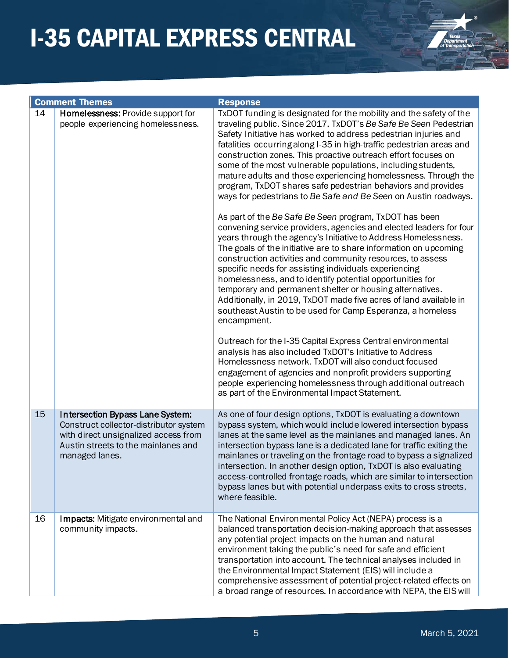

|    | <b>Comment Themes</b>                                                                                                                                                       | <b>Response</b>                                                                                                                                                                                                                                                                                                                                                                                                                                                                                                                                                                                                                                                                                                                                                                                                                                                                                                                                                                                                                                                                                                                                                                                                                                                                                                                                                                                                                                                                                                                                                                                                                                                    |
|----|-----------------------------------------------------------------------------------------------------------------------------------------------------------------------------|--------------------------------------------------------------------------------------------------------------------------------------------------------------------------------------------------------------------------------------------------------------------------------------------------------------------------------------------------------------------------------------------------------------------------------------------------------------------------------------------------------------------------------------------------------------------------------------------------------------------------------------------------------------------------------------------------------------------------------------------------------------------------------------------------------------------------------------------------------------------------------------------------------------------------------------------------------------------------------------------------------------------------------------------------------------------------------------------------------------------------------------------------------------------------------------------------------------------------------------------------------------------------------------------------------------------------------------------------------------------------------------------------------------------------------------------------------------------------------------------------------------------------------------------------------------------------------------------------------------------------------------------------------------------|
| 14 | Homelessness: Provide support for<br>people experiencing homelessness.                                                                                                      | TxDOT funding is designated for the mobility and the safety of the<br>traveling public. Since 2017, TxDOT's Be Safe Be Seen Pedestrian<br>Safety Initiative has worked to address pedestrian injuries and<br>fatalities occurring along I-35 in high-traffic pedestrian areas and<br>construction zones. This proactive outreach effort focuses on<br>some of the most vulnerable populations, including students,<br>mature adults and those experiencing homelessness. Through the<br>program, TxDOT shares safe pedestrian behaviors and provides<br>ways for pedestrians to Be Safe and Be Seen on Austin roadways.<br>As part of the Be Safe Be Seen program, TxDOT has been<br>convening service providers, agencies and elected leaders for four<br>years through the agency's Initiative to Address Homelessness.<br>The goals of the initiative are to share information on upcoming<br>construction activities and community resources, to assess<br>specific needs for assisting individuals experiencing<br>homelessness, and to identify potential opportunities for<br>temporary and permanent shelter or housing alternatives.<br>Additionally, in 2019, TxDOT made five acres of land available in<br>southeast Austin to be used for Camp Esperanza, a homeless<br>encampment.<br>Outreach for the I-35 Capital Express Central environmental<br>analysis has also included TxDOT's Initiative to Address<br>Homelessness network. TxDOT will also conduct focused<br>engagement of agencies and nonprofit providers supporting<br>people experiencing homelessness through additional outreach<br>as part of the Environmental Impact Statement. |
| 15 | Intersection Bypass Lane System:<br>Construct collector-distributor system<br>with direct unsignalized access from<br>Austin streets to the mainlanes and<br>managed lanes. | As one of four design options, TxDOT is evaluating a downtown<br>bypass system, which would include lowered intersection bypass<br>lanes at the same level as the mainlanes and managed lanes. An<br>intersection bypass lane is a dedicated lane for traffic exiting the<br>mainlanes or traveling on the frontage road to bypass a signalized<br>intersection. In another design option, TxDOT is also evaluating<br>access-controlled frontage roads, which are similar to intersection<br>bypass lanes but with potential underpass exits to cross streets,<br>where feasible.                                                                                                                                                                                                                                                                                                                                                                                                                                                                                                                                                                                                                                                                                                                                                                                                                                                                                                                                                                                                                                                                                 |
| 16 | Impacts: Mitigate environmental and<br>community impacts.                                                                                                                   | The National Environmental Policy Act (NEPA) process is a<br>balanced transportation decision-making approach that assesses<br>any potential project impacts on the human and natural<br>environment taking the public's need for safe and efficient<br>transportation into account. The technical analyses included in<br>the Environmental Impact Statement (EIS) will include a<br>comprehensive assessment of potential project-related effects on<br>a broad range of resources. In accordance with NEPA, the EIS will                                                                                                                                                                                                                                                                                                                                                                                                                                                                                                                                                                                                                                                                                                                                                                                                                                                                                                                                                                                                                                                                                                                                        |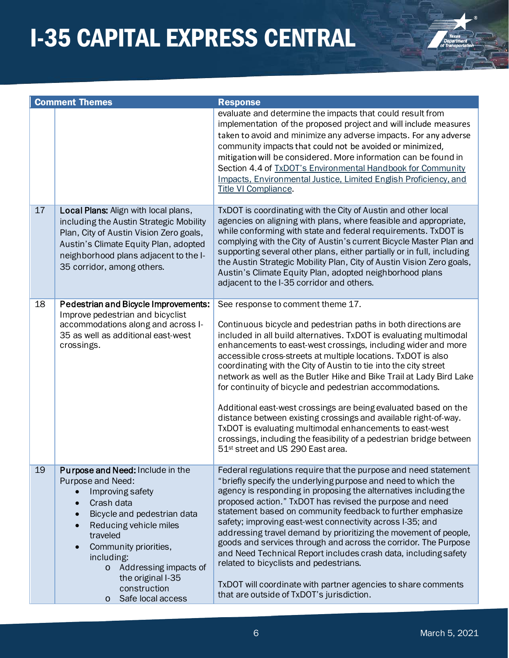

|    | <b>Comment Themes</b>                                                                                                                                                                                                                                                                                                                | <b>Response</b>                                                                                                                                                                                                                                                                                                                                                                                                                                                                                                                                                                                                                                                                                                                                                                                                                              |
|----|--------------------------------------------------------------------------------------------------------------------------------------------------------------------------------------------------------------------------------------------------------------------------------------------------------------------------------------|----------------------------------------------------------------------------------------------------------------------------------------------------------------------------------------------------------------------------------------------------------------------------------------------------------------------------------------------------------------------------------------------------------------------------------------------------------------------------------------------------------------------------------------------------------------------------------------------------------------------------------------------------------------------------------------------------------------------------------------------------------------------------------------------------------------------------------------------|
|    |                                                                                                                                                                                                                                                                                                                                      | evaluate and determine the impacts that could result from<br>implementation of the proposed project and will include measures<br>taken to avoid and minimize any adverse impacts. For any adverse<br>community impacts that could not be avoided or minimized,<br>mitigation will be considered. More information can be found in<br>Section 4.4 of TxDOT's Environmental Handbook for Community<br>Impacts, Environmental Justice, Limited English Proficiency, and<br>Title VI Compliance.                                                                                                                                                                                                                                                                                                                                                 |
| 17 | Local Plans: Align with local plans,<br>including the Austin Strategic Mobility<br>Plan, City of Austin Vision Zero goals,<br>Austin's Climate Equity Plan, adopted<br>neighborhood plans adjacent to the I-<br>35 corridor, among others.                                                                                           | TxDOT is coordinating with the City of Austin and other local<br>agencies on aligning with plans, where feasible and appropriate,<br>while conforming with state and federal requirements. TxDOT is<br>complying with the City of Austin's current Bicycle Master Plan and<br>supporting several other plans, either partially or in full, including<br>the Austin Strategic Mobility Plan, City of Austin Vision Zero goals,<br>Austin's Climate Equity Plan, adopted neighborhood plans<br>adjacent to the I-35 corridor and others.                                                                                                                                                                                                                                                                                                       |
| 18 | Pedestrian and Bicycle Improvements:<br>Improve pedestrian and bicyclist<br>accommodations along and across I-<br>35 as well as additional east-west<br>crossings.                                                                                                                                                                   | See response to comment theme 17.<br>Continuous bicycle and pedestrian paths in both directions are<br>included in all build alternatives. TxDOT is evaluating multimodal<br>enhancements to east-west crossings, including wider and more<br>accessible cross-streets at multiple locations. TxDOT is also<br>coordinating with the City of Austin to tie into the city street<br>network as well as the Butler Hike and Bike Trail at Lady Bird Lake<br>for continuity of bicycle and pedestrian accommodations.<br>Additional east-west crossings are being evaluated based on the<br>distance between existing crossings and available right-of-way.<br>TxDOT is evaluating multimodal enhancements to east-west<br>crossings, including the feasibility of a pedestrian bridge between<br>51 <sup>st</sup> street and US 290 East area. |
| 19 | <b>Purpose and Need: Include in the</b><br>Purpose and Need:<br>Improving safety<br>Crash data<br>$\bullet$<br>Bicycle and pedestrian data<br>Reducing vehicle miles<br>traveled<br>Community priorities,<br>$\bullet$<br>including:<br>o Addressing impacts of<br>the original I-35<br>construction<br>Safe local access<br>$\circ$ | Federal regulations require that the purpose and need statement<br>"briefly specify the underlying purpose and need to which the<br>agency is responding in proposing the alternatives including the<br>proposed action." TxDOT has revised the purpose and need<br>statement based on community feedback to further emphasize<br>safety; improving east-west connectivity across I-35; and<br>addressing travel demand by prioritizing the movement of people,<br>goods and services through and across the corridor. The Purpose<br>and Need Technical Report includes crash data, including safety<br>related to bicyclists and pedestrians.<br>TxDOT will coordinate with partner agencies to share comments<br>that are outside of TxDOT's jurisdiction.                                                                                |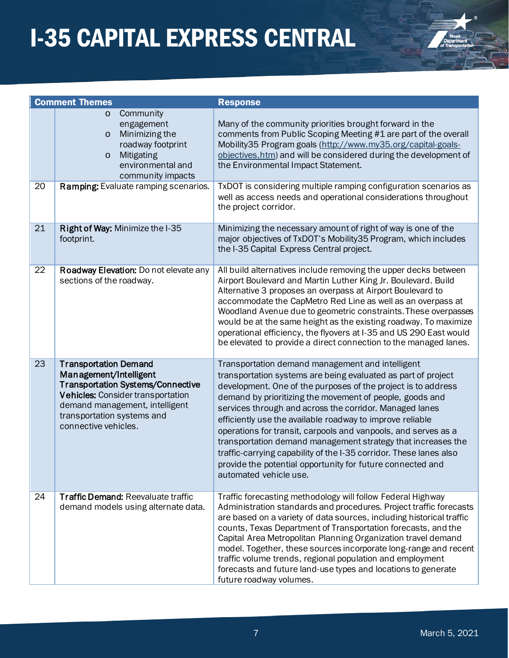

|    | <b>Comment Themes</b>                                                                                                                                                                                                           | <b>Response</b>                                                                                                                                                                                                                                                                                                                                                                                                                                                                                                                                                                                                                                                        |
|----|---------------------------------------------------------------------------------------------------------------------------------------------------------------------------------------------------------------------------------|------------------------------------------------------------------------------------------------------------------------------------------------------------------------------------------------------------------------------------------------------------------------------------------------------------------------------------------------------------------------------------------------------------------------------------------------------------------------------------------------------------------------------------------------------------------------------------------------------------------------------------------------------------------------|
|    | Community<br>$\circ$<br>engagement<br>Minimizing the<br>$\circ$<br>roadway footprint<br>Mitigating<br>$\circ$<br>environmental and<br>community impacts                                                                         | Many of the community priorities brought forward in the<br>comments from Public Scoping Meeting #1 are part of the overall<br>Mobility35 Program goals (http://www.my35.org/capital-goals-<br>objectives.htm) and will be considered during the development of<br>the Environmental Impact Statement.                                                                                                                                                                                                                                                                                                                                                                  |
| 20 | Ramping: Evaluate ramping scenarios.                                                                                                                                                                                            | TxDOT is considering multiple ramping configuration scenarios as<br>well as access needs and operational considerations throughout<br>the project corridor.                                                                                                                                                                                                                                                                                                                                                                                                                                                                                                            |
| 21 | Right of Way: Minimize the I-35<br>footprint.                                                                                                                                                                                   | Minimizing the necessary amount of right of way is one of the<br>major objectives of TxDOT's Mobility 35 Program, which includes<br>the I-35 Capital Express Central project.                                                                                                                                                                                                                                                                                                                                                                                                                                                                                          |
| 22 | Roadway Elevation: Do not elevate any<br>sections of the roadway.                                                                                                                                                               | All build alternatives include removing the upper decks between<br>Airport Boulevard and Martin Luther King Jr. Boulevard. Build<br>Alternative 3 proposes an overpass at Airport Boulevard to<br>accommodate the CapMetro Red Line as well as an overpass at<br>Woodland Avenue due to geometric constraints. These overpasses<br>would be at the same height as the existing roadway. To maximize<br>operational efficiency, the flyovers at I-35 and US 290 East would<br>be elevated to provide a direct connection to the managed lanes.                                                                                                                          |
| 23 | <b>Transportation Demand</b><br>Management/Intelligent<br><b>Transportation Systems/Connective</b><br>Vehicles: Consider transportation<br>demand management, intelligent<br>transportation systems and<br>connective vehicles. | Transportation demand management and intelligent<br>transportation systems are being evaluated as part of project<br>development. One of the purposes of the project is to address<br>demand by prioritizing the movement of people, goods and<br>services through and across the corridor. Managed lanes<br>efficiently use the available roadway to improve reliable<br>operations for transit, carpools and vanpools, and serves as a<br>transportation demand management strategy that increases the<br>traffic-carrying capability of the I-35 corridor. These lanes also<br>provide the potential opportunity for future connected and<br>automated vehicle use. |
| 24 | <b>Traffic Demand: Reevaluate traffic</b><br>demand models using alternate data.                                                                                                                                                | Traffic forecasting methodology will follow Federal Highway<br>Administration standards and procedures. Project traffic forecasts<br>are based on a variety of data sources, including historical traffic<br>counts, Texas Department of Transportation forecasts, and the<br>Capital Area Metropolitan Planning Organization travel demand<br>model. Together, these sources incorporate long-range and recent<br>traffic volume trends, regional population and employment<br>forecasts and future land-use types and locations to generate<br>future roadway volumes.                                                                                               |